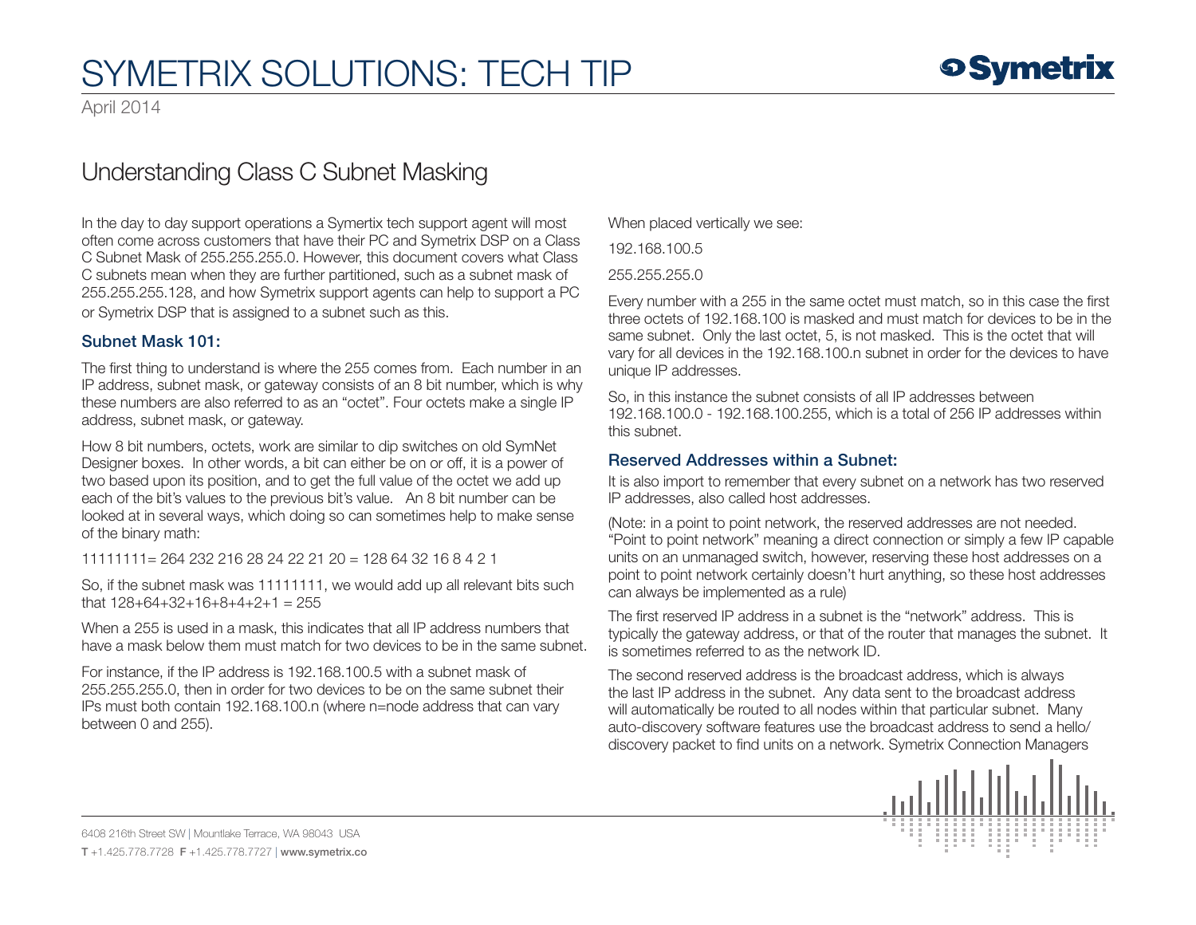April 2014

## Understanding Class C Subnet Masking

In the day to day support operations a Symertix tech support agent will most often come across customers that have their PC and Symetrix DSP on a Class C Subnet Mask of 255.255.255.0. However, this document covers what Class C subnets mean when they are further partitioned, such as a subnet mask of 255.255.255.128, and how Symetrix support agents can help to support a PC or Symetrix DSP that is assigned to a subnet such as this.

### Subnet Mask 101:

The first thing to understand is where the 255 comes from. Each number in an IP address, subnet mask, or gateway consists of an 8 bit number, which is why these numbers are also referred to as an "octet". Four octets make a single IP address, subnet mask, or gateway.

How 8 bit numbers, octets, work are similar to dip switches on old SymNet Designer boxes. In other words, a bit can either be on or off, it is a power of two based upon its position, and to get the full value of the octet we add up each of the bit's values to the previous bit's value. An 8 bit number can be looked at in several ways, which doing so can sometimes help to make sense of the binary math:

11111111= 264 232 216 28 24 22 21 20 = 128 64 32 16 8 4 2 1

So, if the subnet mask was 11111111, we would add up all relevant bits such that  $128+64+32+16+8+4+2+1 = 255$ 

When a 255 is used in a mask, this indicates that all IP address numbers that have a mask below them must match for two devices to be in the same subnet.

For instance, if the IP address is 192.168.100.5 with a subnet mask of 255.255.255.0, then in order for two devices to be on the same subnet their IPs must both contain 192.168.100.n (where n=node address that can vary between 0 and 255).

When placed vertically we see:

192.168.100.5

255.255.255.0

Every number with a 255 in the same octet must match, so in this case the first three octets of 192.168.100 is masked and must match for devices to be in the same subnet. Only the last octet, 5, is not masked. This is the octet that will vary for all devices in the 192.168.100.n subnet in order for the devices to have unique IP addresses.

So, in this instance the subnet consists of all IP addresses between 192.168.100.0 - 192.168.100.255, which is a total of 256 IP addresses within this subnet.

### Reserved Addresses within a Subnet:

It is also import to remember that every subnet on a network has two reserved IP addresses, also called host addresses.

(Note: in a point to point network, the reserved addresses are not needed. "Point to point network" meaning a direct connection or simply a few IP capable units on an unmanaged switch, however, reserving these host addresses on a point to point network certainly doesn't hurt anything, so these host addresses can always be implemented as a rule)

The first reserved IP address in a subnet is the "network" address. This is typically the gateway address, or that of the router that manages the subnet. It is sometimes referred to as the network ID.

The second reserved address is the broadcast address, which is always the last IP address in the subnet. Any data sent to the broadcast address will automatically be routed to all nodes within that particular subnet. Many auto-discovery software features use the broadcast address to send a hello/ discovery packet to find units on a network. Symetrix Connection Managers



6408 216th Street SW | Mountlake Terrace, WA 98043 USA T +1.425.778.7728 F +1.425.778.7727 | www.symetrix.co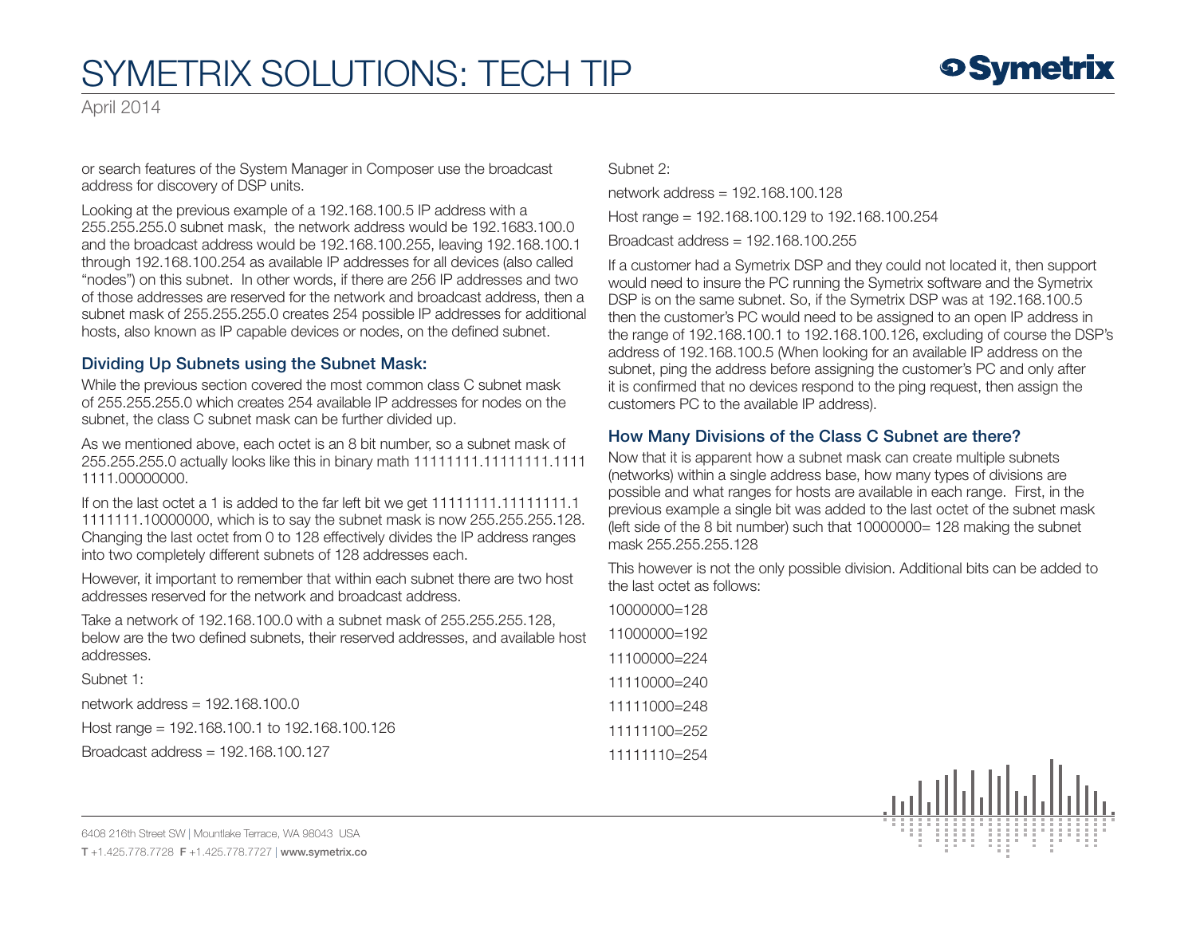April 2014

or search features of the System Manager in Composer use the broadcast address for discovery of DSP units.

Looking at the previous example of a 192.168.100.5 IP address with a 255.255.255.0 subnet mask, the network address would be 192.1683.100.0 and the broadcast address would be 192.168.100.255, leaving 192.168.100.1 through 192.168.100.254 as available IP addresses for all devices (also called "nodes") on this subnet. In other words, if there are 256 IP addresses and two of those addresses are reserved for the network and broadcast address, then a subnet mask of 255.255.255.0 creates 254 possible IP addresses for additional hosts, also known as IP capable devices or nodes, on the defined subnet.

### Dividing Up Subnets using the Subnet Mask:

While the previous section covered the most common class C subnet mask of 255.255.255.0 which creates 254 available IP addresses for nodes on the subnet, the class C subnet mask can be further divided up.

As we mentioned above, each octet is an 8 bit number, so a subnet mask of 255.255.255.0 actually looks like this in binary math 11111111.11111111.1111 1111.00000000.

If on the last octet a 1 is added to the far left bit we get 11111111.11111111.1 1111111.10000000, which is to say the subnet mask is now 255.255.255.128. Changing the last octet from 0 to 128 effectively divides the IP address ranges into two completely different subnets of 128 addresses each.

However, it important to remember that within each subnet there are two host addresses reserved for the network and broadcast address.

Take a network of 192.168.100.0 with a subnet mask of 255.255.255.128, below are the two defined subnets, their reserved addresses, and available host addresses.

Subnet 1:

network address = 192.168.100.0

Host range = 192.168.100.1 to 192.168.100.126

Broadcast address = 192.168.100.127

Subnet 2:

network address = 192.168.100.128 Host range = 192.168.100.129 to 192.168.100.254

Broadcast address = 192.168.100.255

If a customer had a Symetrix DSP and they could not located it, then support would need to insure the PC running the Symetrix software and the Symetrix DSP is on the same subnet. So, if the Symetrix DSP was at 192.168.100.5 then the customer's PC would need to be assigned to an open IP address in the range of 192.168.100.1 to 192.168.100.126, excluding of course the DSP's address of 192.168.100.5 (When looking for an available IP address on the subnet, ping the address before assigning the customer's PC and only after it is confirmed that no devices respond to the ping request, then assign the customers PC to the available IP address).

### How Many Divisions of the Class C Subnet are there?

Now that it is apparent how a subnet mask can create multiple subnets (networks) within a single address base, how many types of divisions are possible and what ranges for hosts are available in each range. First, in the previous example a single bit was added to the last octet of the subnet mask (left side of the 8 bit number) such that  $10000000= 128$  making the subnet mask 255.255.255.128

This however is not the only possible division. Additional bits can be added to the last octet as follows:

| $10000000=128$ |  |
|----------------|--|
| 11000000=192   |  |
| 11100000=224   |  |
| 11110000=240   |  |
| 11111000=248   |  |
| 11111100=252   |  |
| 11111110=254   |  |



6408 216th Street SW | Mountlake Terrace, WA 98043 USA

T +1.425.778.7728 F +1.425.778.7727 | www.symetrix.co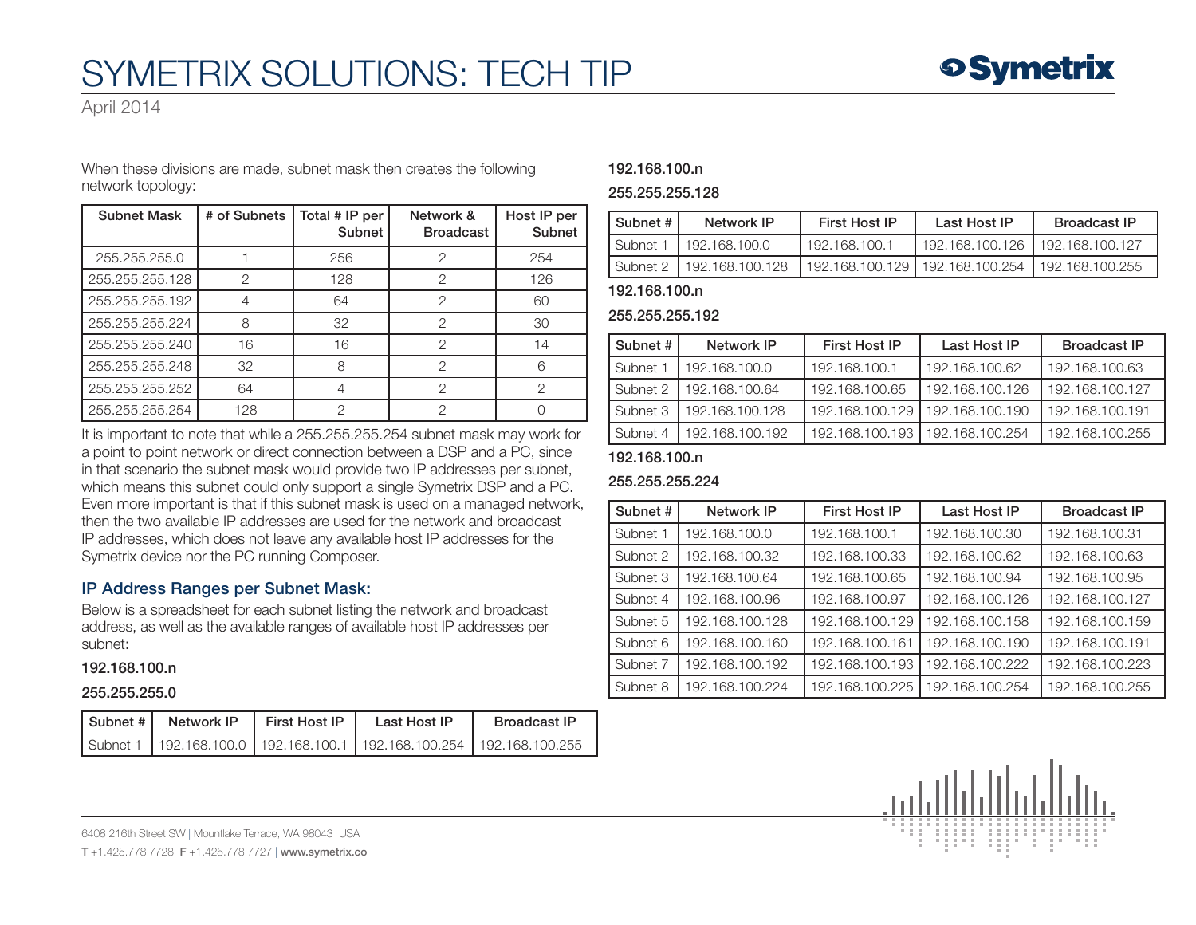April 2014

When these divisions are made, subnet mask then creates the following network topology:

| <b>Subnet Mask</b> | # of Subnets | Total # IP per<br>Subnet | Network &<br><b>Broadcast</b> | Host IP per<br>Subnet |
|--------------------|--------------|--------------------------|-------------------------------|-----------------------|
| 255,255,255,0      |              | 256                      | 2                             | 254                   |
| 255.255.255.128    | 2            | 128                      | 2                             | 126                   |
| 255.255.255.192    |              | 64                       | 2                             | 60                    |
| 255.255.255.224    | 8            | 32                       | 2                             | 30                    |
| 255.255.255.240    | 16           | 16                       | 2                             | 14                    |
| 255.255.255.248    | 32           | 8                        | 2                             |                       |
| 255.255.255.252    | 64           |                          | 2                             | っ                     |
| 255.255.255.254    | 128          | ≘                        | റ                             |                       |

It is important to note that while a 255.255.255.254 subnet mask may work for a point to point network or direct connection between a DSP and a PC, since in that scenario the subnet mask would provide two IP addresses per subnet, which means this subnet could only support a single Symetrix DSP and a PC. Even more important is that if this subnet mask is used on a managed network, then the two available IP addresses are used for the network and broadcast IP addresses, which does not leave any available host IP addresses for the Symetrix device nor the PC running Composer.

### IP Address Ranges per Subnet Mask:

Below is a spreadsheet for each subnet listing the network and broadcast address, as well as the available ranges of available host IP addresses per subnet:

#### 192.168.100.n

#### 255.255.255.0

| Subnet #   Network IP | <b>First Host IP</b> | Last Host IP                                                                 | <b>Broadcast IP</b> |
|-----------------------|----------------------|------------------------------------------------------------------------------|---------------------|
|                       |                      | Subnet 1   192.168.100.0   192.168.100.1   192.168.100.254   192.168.100.255 |                     |

#### 192.168.100.n

#### 255.255.255.128

| Subnet #          | Network IP      | <b>First Host IP</b> | Last Host IP                      | <b>Broadcast IP</b> |
|-------------------|-----------------|----------------------|-----------------------------------|---------------------|
| <b>I</b> Subnet 1 | 192.168.100.0   | 192.168.100.1        | 192.168.100.126                   | 192.168.100.127     |
| <b>Subnet 2</b>   | 192.168.100.128 |                      | 192.168.100.129   192.168.100.254 | 192.168.100.255     |

#### 192.168.100.n

#### 255.255.255.192

| Subnet # | Network IP      | <b>First Host IP</b> | Last Host IP    | <b>Broadcast IP</b> |
|----------|-----------------|----------------------|-----------------|---------------------|
| Subnet 1 | 192.168.100.0   | 192.168.100.1        | 192.168.100.62  | 192.168.100.63      |
| Subnet 2 | 192.168.100.64  | 192.168.100.65       | 192.168.100.126 | 192.168.100.127     |
| Subnet 3 | 192.168.100.128 | 192.168.100.129      | 192.168.100.190 | 192.168.100.191     |
| Subnet 4 | 192.168.100.192 | 192.168.100.193      | 192.168.100.254 | 192.168.100.255     |

#### 192.168.100.n

#### 255.255.255.224

| Subnet # | Network IP      | <b>First Host IP</b> | Last Host IP    | <b>Broadcast IP</b> |
|----------|-----------------|----------------------|-----------------|---------------------|
| Subnet 1 | 192.168.100.0   | 192.168.100.1        | 192.168.100.30  | 192.168.100.31      |
| Subnet 2 | 192.168.100.32  | 192.168.100.33       | 192.168.100.62  | 192.168.100.63      |
| Subnet 3 | 192.168.100.64  | 192.168.100.65       | 192.168.100.94  | 192.168.100.95      |
| Subnet 4 | 192.168.100.96  | 192.168.100.97       | 192.168.100.126 | 192.168.100.127     |
| Subnet 5 | 192.168.100.128 | 192.168.100.129      | 192.168.100.158 | 192.168.100.159     |
| Subnet 6 | 192.168.100.160 | 192.168.100.161      | 192.168.100.190 | 192.168.100.191     |
| Subnet 7 | 192.168.100.192 | 192.168.100.193      | 192.168.100.222 | 192.168.100.223     |
| Subnet 8 | 192.168.100.224 | 192.168.100.225      | 192.168.100.254 | 192.168.100.255     |



6408 216th Street SW | Mountlake Terrace, WA 98043 USA

T +1.425.778.7728 F +1.425.778.7727 | www.symetrix.co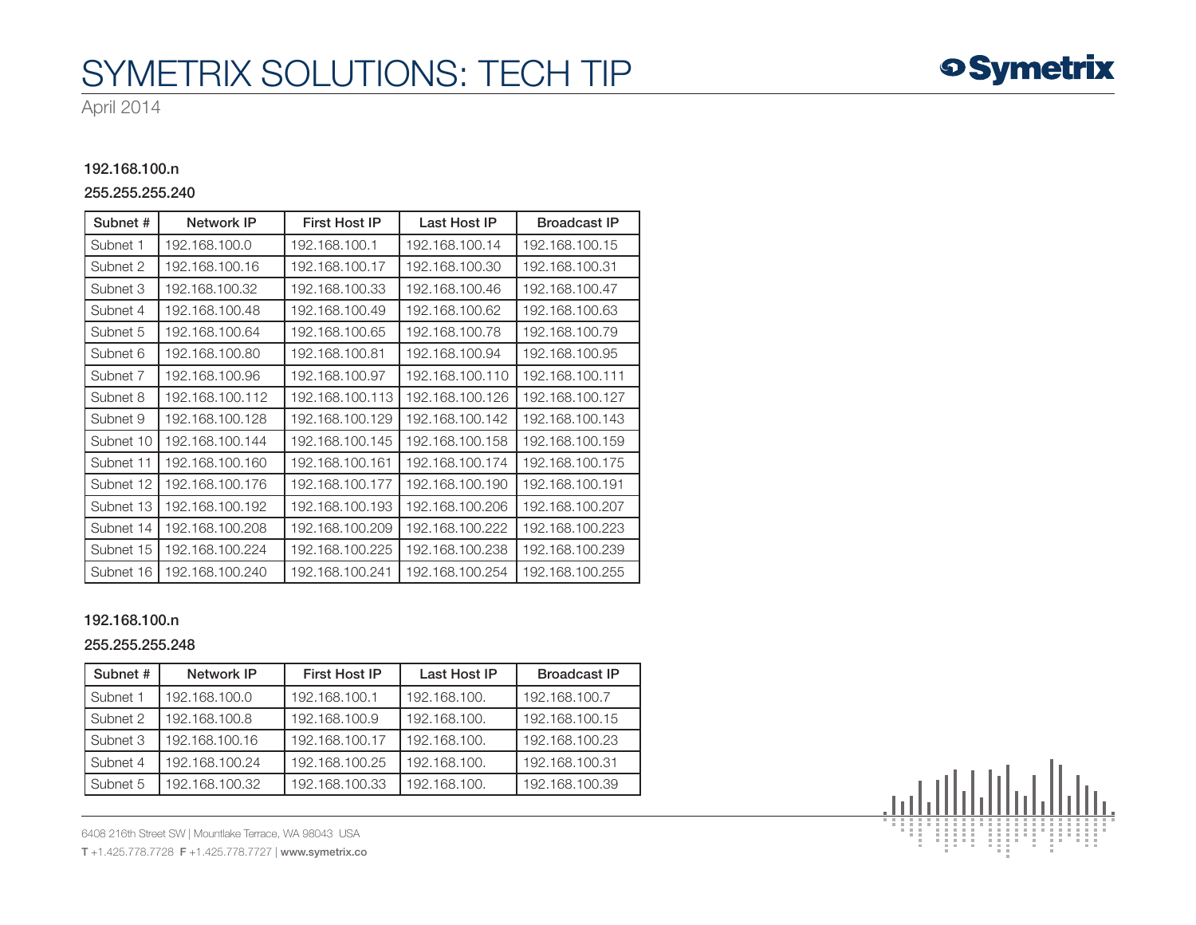April 2014

#### 192.168.100.n

#### 255.255.255.240

| Subnet #  | Network IP      | <b>First Host IP</b> | Last Host IP    | <b>Broadcast IP</b> |
|-----------|-----------------|----------------------|-----------------|---------------------|
| Subnet 1  | 192.168.100.0   | 192.168.100.1        | 192.168.100.14  | 192.168.100.15      |
| Subnet 2  | 192.168.100.16  | 192.168.100.17       | 192.168.100.30  | 192.168.100.31      |
| Subnet 3  | 192.168.100.32  | 192.168.100.33       | 192.168.100.46  | 192.168.100.47      |
| Subnet 4  | 192.168.100.48  | 192.168.100.49       | 192.168.100.62  | 192.168.100.63      |
| Subnet 5  | 192.168.100.64  | 192.168.100.65       | 192.168.100.78  | 192.168.100.79      |
| Subnet 6  | 192.168.100.80  | 192.168.100.81       | 192.168.100.94  | 192.168.100.95      |
| Subnet 7  | 192.168.100.96  | 192.168.100.97       | 192.168.100.110 | 192.168.100.111     |
| Subnet 8  | 192.168.100.112 | 192.168.100.113      | 192.168.100.126 | 192.168.100.127     |
| Subnet 9  | 192.168.100.128 | 192.168.100.129      | 192.168.100.142 | 192.168.100.143     |
| Subnet 10 | 192.168.100.144 | 192.168.100.145      | 192.168.100.158 | 192.168.100.159     |
| Subnet 11 | 192.168.100.160 | 192.168.100.161      | 192.168.100.174 | 192.168.100.175     |
| Subnet 12 | 192.168.100.176 | 192.168.100.177      | 192.168.100.190 | 192.168.100.191     |
| Subnet 13 | 192.168.100.192 | 192.168.100.193      | 192.168.100.206 | 192.168.100.207     |
| Subnet 14 | 192.168.100.208 | 192.168.100.209      | 192.168.100.222 | 192.168.100.223     |
| Subnet 15 | 192.168.100.224 | 192.168.100.225      | 192.168.100.238 | 192.168.100.239     |
| Subnet 16 | 192.168.100.240 | 192.168.100.241      | 192.168.100.254 | 192.168.100.255     |

#### 192.168.100.n

#### 255.255.255.248

| Subnet # | Network IP     | <b>First Host IP</b> | Last Host IP | <b>Broadcast IP</b> |
|----------|----------------|----------------------|--------------|---------------------|
| Subnet 1 | 192.168.100.0  | 192.168.100.1        | 192.168.100. | 192.168.100.7       |
| Subnet 2 | 192.168.100.8  | 192.168.100.9        | 192.168.100. | 192.168.100.15      |
| Subnet 3 | 192.168.100.16 | 192.168.100.17       | 192.168.100. | 192.168.100.23      |
| Subnet 4 | 192.168.100.24 | 192.168.100.25       | 192.168.100. | 192.168.100.31      |
| Subnet 5 | 192.168.100.32 | 192.168.100.33       | 192.168.100. | 192.168.100.39      |

6408 216th Street SW | Mountlake Terrace, WA 98043 USA

T +1.425.778.7728 F +1.425.778.7727 | www.symetrix.co



**o Symetrix**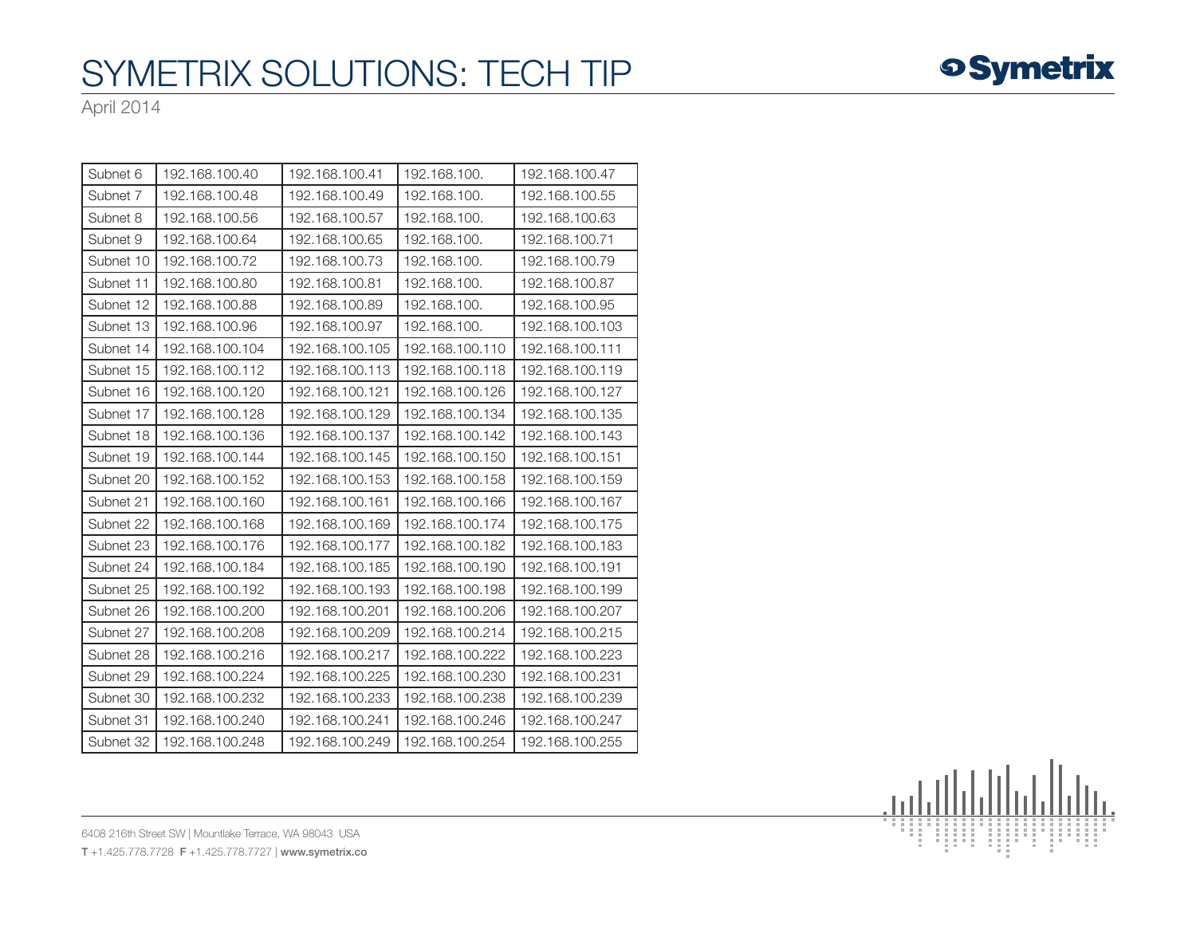

| Subnet 6  | 192.168.100.40  | 192.168.100.41  | 192.168.100.    | 192.168.100.47  |
|-----------|-----------------|-----------------|-----------------|-----------------|
| Subnet 7  | 192.168.100.48  | 192.168.100.49  | 192.168.100.    | 192.168.100.55  |
| Subnet 8  | 192.168.100.56  | 192.168.100.57  | 192.168.100.    | 192.168.100.63  |
| Subnet 9  | 192.168.100.64  | 192.168.100.65  | 192.168.100.    | 192.168.100.71  |
| Subnet 10 | 192.168.100.72  | 192.168.100.73  | 192.168.100.    | 192.168.100.79  |
| Subnet 11 | 192.168.100.80  | 192.168.100.81  | 192.168.100.    | 192.168.100.87  |
| Subnet 12 | 192.168.100.88  | 192.168.100.89  | 192.168.100.    | 192.168.100.95  |
| Subnet 13 | 192.168.100.96  | 192.168.100.97  | 192.168.100.    | 192.168.100.103 |
| Subnet 14 | 192.168.100.104 | 192.168.100.105 | 192.168.100.110 | 192.168.100.111 |
| Subnet 15 | 192.168.100.112 | 192.168.100.113 | 192.168.100.118 | 192.168.100.119 |
| Subnet 16 | 192.168.100.120 | 192.168.100.121 | 192.168.100.126 | 192.168.100.127 |
| Subnet 17 | 192.168.100.128 | 192.168.100.129 | 192.168.100.134 | 192.168.100.135 |
| Subnet 18 | 192.168.100.136 | 192.168.100.137 | 192.168.100.142 | 192.168.100.143 |
| Subnet 19 | 192.168.100.144 | 192.168.100.145 | 192.168.100.150 | 192.168.100.151 |
| Subnet 20 | 192.168.100.152 | 192.168.100.153 | 192.168.100.158 | 192.168.100.159 |
| Subnet 21 | 192.168.100.160 | 192.168.100.161 | 192.168.100.166 | 192.168.100.167 |
| Subnet 22 | 192.168.100.168 | 192.168.100.169 | 192.168.100.174 | 192.168.100.175 |
| Subnet 23 | 192.168.100.176 | 192.168.100.177 | 192.168.100.182 | 192.168.100.183 |
| Subnet 24 | 192.168.100.184 | 192.168.100.185 | 192.168.100.190 | 192.168.100.191 |
| Subnet 25 | 192.168.100.192 | 192.168.100.193 | 192.168.100.198 | 192.168.100.199 |
| Subnet 26 | 192.168.100.200 | 192.168.100.201 | 192.168.100.206 | 192.168.100.207 |
| Subnet 27 | 192.168.100.208 | 192.168.100.209 | 192.168.100.214 | 192.168.100.215 |
| Subnet 28 | 192.168.100.216 | 192.168.100.217 | 192.168.100.222 | 192.168.100.223 |
| Subnet 29 | 192.168.100.224 | 192.168.100.225 | 192.168.100.230 | 192.168.100.231 |
| Subnet 30 | 192.168.100.232 | 192.168.100.233 | 192.168.100.238 | 192.168.100.239 |
| Subnet 31 | 192.168.100.240 | 192.168.100.241 | 192.168.100.246 | 192.168.100.247 |
| Subnet 32 | 192.168.100.248 | 192.168.100.249 | 192.168.100.254 | 192.168.100.255 |



**o Symetrix** 

6408 216th Street SW | Mountlake Terrace, WA 98043 USA T +1.425.778.7728 F +1.425.778.7727 | www.symetrix.co